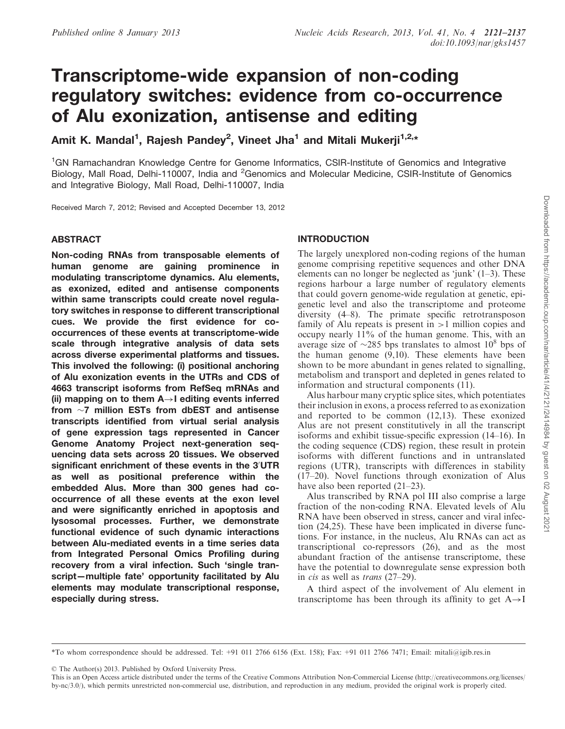# Transcriptome-wide expansion of non-coding regulatory switches: evidence from co-occurrence of Alu exonization, antisense and editing

Amit K. Mandal<sup>1</sup>, Rajesh Pandey<sup>2</sup>, Vineet Jha<sup>1</sup> and Mitali Mukerji<sup>1,2,</sup>\*

<sup>1</sup>GN Ramachandran Knowledge Centre for Genome Informatics, CSIR-Institute of Genomics and Integrative Biology, Mall Road, Delhi-110007, India and <sup>2</sup>Genomics and Molecular Medicine, CSIR-Institute of Genomics and Integrative Biology, Mall Road, Delhi-110007, India

Received March 7, 2012; Revised and Accepted December 13, 2012

# ABSTRACT

Non-coding RNAs from transposable elements of human genome are gaining prominence in modulating transcriptome dynamics. Alu elements, as exonized, edited and antisense components within same transcripts could create novel regulatory switches in response to different transcriptional cues. We provide the first evidence for cooccurrences of these events at transcriptome-wide scale through integrative analysis of data sets across diverse experimental platforms and tissues. This involved the following: (i) positional anchoring of Alu exonization events in the UTRs and CDS of 4663 transcript isoforms from RefSeq mRNAs and (ii) mapping on to them  $A \rightarrow I$  editing events inferred from  $\sim$ 7 million ESTs from dbEST and antisense transcripts identified from virtual serial analysis of gene expression tags represented in Cancer Genome Anatomy Project next-generation sequencing data sets across 20 tissues. We observed significant enrichment of these events in the 3'UTR as well as positional preference within the embedded Alus. More than 300 genes had cooccurrence of all these events at the exon level and were significantly enriched in apoptosis and lysosomal processes. Further, we demonstrate functional evidence of such dynamic interactions between Alu-mediated events in a time series data from Integrated Personal Omics Profiling during recovery from a viral infection. Such 'single transcript—multiple fate' opportunity facilitated by Alu elements may modulate transcriptional response, especially during stress.

# INTRODUCTION

The largely unexplored non-coding regions of the human genome comprising repetitive sequences and other DNA elements can no longer be neglected as 'junk'  $(1-3)$ . These regions harbour a large number of regulatory elements that could govern genome-wide regulation at genetic, epigenetic level and also the transcriptome and proteome diversity (4–8). The primate specific retrotransposon family of Alu repeats is present in  $>1$  million copies and occupy nearly 11% of the human genome. This, with an average size of  $\sim$ 285 bps translates to almost  $10^8$  bps of the human genome (9,10). These elements have been shown to be more abundant in genes related to signalling, metabolism and transport and depleted in genes related to information and structural components (11).

Alus harbour many cryptic splice sites, which potentiates their inclusion in exons, a process referred to as exonization and reported to be common (12,13). These exonized Alus are not present constitutively in all the transcript isoforms and exhibit tissue-specific expression (14–16). In the coding sequence (CDS) region, these result in protein isoforms with different functions and in untranslated regions (UTR), transcripts with differences in stability (17–20). Novel functions through exonization of Alus have also been reported  $(21–23)$ .

Alus transcribed by RNA pol III also comprise a large fraction of the non-coding RNA. Elevated levels of Alu RNA have been observed in stress, cancer and viral infection (24,25). These have been implicated in diverse functions. For instance, in the nucleus, Alu RNAs can act as transcriptional co-repressors (26), and as the most abundant fraction of the antisense transcriptome, these have the potential to downregulate sense expression both in *cis* as well as *trans* (27–29).

A third aspect of the involvement of Alu element in transcriptome has been through its affinity to get  $A \rightarrow I$ 

 $©$  The Author(s) 2013. Published by Oxford University Press.

<sup>\*</sup>To whom correspondence should be addressed. Tel: +91 011 2766 6156 (Ext. 158); Fax: +91 011 2766 7471; Email: mitali@igib.res.in

This is an Open Access article distributed under the terms of the Creative Commons Attribution Non-Commercial License (http://creativecommons.org/licenses/ by-nc/3.0/), which permits unrestricted non-commercial use, distribution, and reproduction in any medium, provided the original work is properly cited.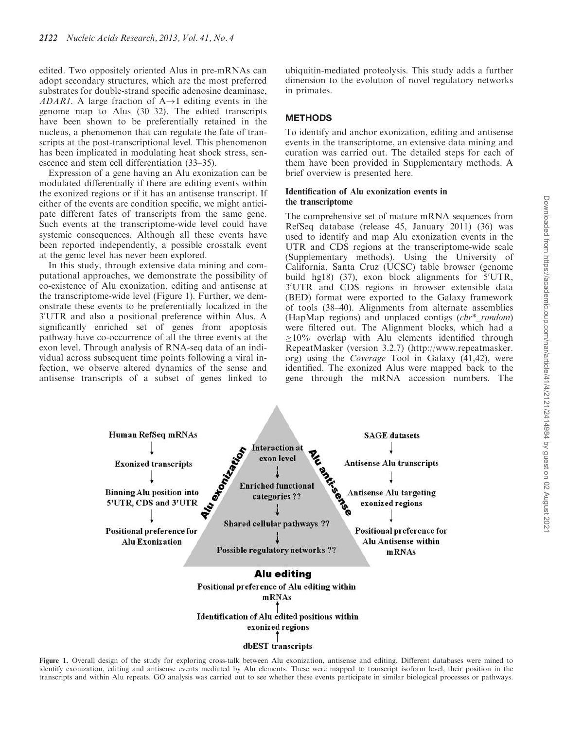edited. Two oppositely oriented Alus in pre-mRNAs can adopt secondary structures, which are the most preferred substrates for double-strand specific adenosine deaminase, *ADAR1.* A large fraction of  $A \rightarrow I$  editing events in the genome map to Alus (30–32). The edited transcripts have been shown to be preferentially retained in the nucleus, a phenomenon that can regulate the fate of transcripts at the post-transcriptional level. This phenomenon has been implicated in modulating heat shock stress, senescence and stem cell differentiation (33–35).

Expression of a gene having an Alu exonization can be modulated differentially if there are editing events within the exonized regions or if it has an antisense transcript. If either of the events are condition specific, we might anticipate different fates of transcripts from the same gene. Such events at the transcriptome-wide level could have systemic consequences. Although all these events have been reported independently, a possible crosstalk event at the genic level has never been explored.

In this study, through extensive data mining and computational approaches, we demonstrate the possibility of co-existence of Alu exonization, editing and antisense at the transcriptome-wide level (Figure 1). Further, we demonstrate these events to be preferentially localized in the 3 <sup>0</sup>UTR and also a positional preference within Alus. A significantly enriched set of genes from apoptosis pathway have co-occurrence of all the three events at the exon level. Through analysis of RNA-seq data of an individual across subsequent time points following a viral infection, we observe altered dynamics of the sense and antisense transcripts of a subset of genes linked to

ubiquitin-mediated proteolysis. This study adds a further dimension to the evolution of novel regulatory networks in primates.

# **METHODS**

To identify and anchor exonization, editing and antisense events in the transcriptome, an extensive data mining and curation was carried out. The detailed steps for each of them have been provided in Supplementary methods. A brief overview is presented here.

#### Identification of Alu exonization events in the transcriptome

The comprehensive set of mature mRNA sequences from RefSeq database (release 45, January 2011) (36) was used to identify and map Alu exonization events in the UTR and CDS regions at the transcriptome-wide scale (Supplementary methods). Using the University of California, Santa Cruz (UCSC) table browser (genome build hg18) (37), exon block alignments for  $5'UTR$ , 3 <sup>0</sup>UTR and CDS regions in browser extensible data (BED) format were exported to the Galaxy framework of tools (38–40). Alignments from alternate assemblies (HapMap regions) and unplaced contigs (*chr\*\_random*) were filtered out. The Alignment blocks, which had a  $>10\%$  overlap with Alu elements identified through RepeatMasker (version 3.2.7) (http://www.repeatmasker. org) using the *Coverage* Tool in Galaxy (41,42), were identified. The exonized Alus were mapped back to the gene through the mRNA accession numbers. The



Figure 1. Overall design of the study for exploring cross-talk between Alu exonization, antisense and editing. Different databases were mined to identify exonization, editing and antisense events mediated by Alu elements. These were mapped to transcript isoform level, their position in the transcripts and within Alu repeats. GO analysis was carried out to see whether these events participate in similar biological processes or pathways.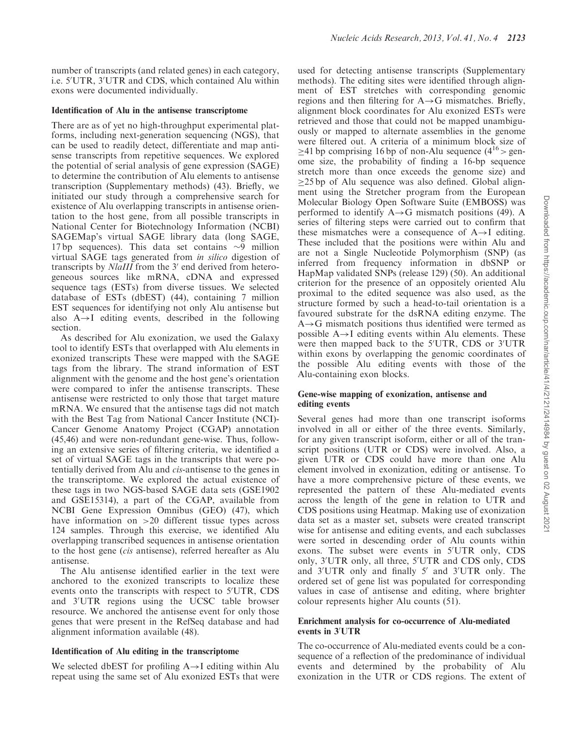number of transcripts (and related genes) in each category, i.e. 5'UTR, 3'UTR and CDS, which contained Alu within exons were documented individually.

#### Identification of Alu in the antisense transcriptome

There are as of yet no high-throughput experimental platforms, including next-generation sequencing (NGS), that can be used to readily detect, differentiate and map antisense transcripts from repetitive sequences. We explored the potential of serial analysis of gene expression (SAGE) to determine the contribution of Alu elements to antisense transcription (Supplementary methods) (43). Briefly, we initiated our study through a comprehensive search for existence of Alu overlapping transcripts in antisense orientation to the host gene, from all possible transcripts in National Center for Biotechnology Information (NCBI) SAGEMap's virtual SAGE library data (long SAGE, 17 bp sequences). This data set contains  $\sim$ 9 million virtual SAGE tags generated from *in silico* digestion of transcripts by *NlaIII* from the 3' end derived from heterogeneous sources like mRNA, cDNA and expressed sequence tags (ESTs) from diverse tissues. We selected database of ESTs (dbEST) (44), containing 7 million EST sequences for identifying not only Alu antisense but also  $A \rightarrow I$  editing events, described in the following section.

As described for Alu exonization, we used the Galaxy tool to identify ESTs that overlapped with Alu elements in exonized transcripts These were mapped with the SAGE tags from the library. The strand information of EST alignment with the genome and the host gene's orientation were compared to infer the antisense transcripts. These antisense were restricted to only those that target mature mRNA. We ensured that the antisense tags did not match with the Best Tag from National Cancer Institute (NCI)- Cancer Genome Anatomy Project (CGAP) annotation (45,46) and were non-redundant gene-wise. Thus, following an extensive series of filtering criteria, we identified a set of virtual SAGE tags in the transcripts that were potentially derived from Alu and *cis*-antisense to the genes in the transcriptome. We explored the actual existence of these tags in two NGS-based SAGE data sets (GSE1902 and GSE15314), a part of the CGAP, available from NCBI Gene Expression Omnibus (GEO) (47), which have information on >20 different tissue types across 124 samples. Through this exercise, we identified Alu overlapping transcribed sequences in antisense orientation to the host gene (*cis* antisense), referred hereafter as Alu antisense.

The Alu antisense identified earlier in the text were anchored to the exonized transcripts to localize these events onto the transcripts with respect to 5'UTR, CDS and 3'UTR regions using the UCSC table browser resource. We anchored the antisense event for only those genes that were present in the RefSeq database and had alignment information available (48).

#### Identification of Alu editing in the transcriptome

We selected dbEST for profiling  $A \rightarrow I$  editing within Alu repeat using the same set of Alu exonized ESTs that were

used for detecting antisense transcripts (Supplementary methods). The editing sites were identified through alignment of EST stretches with corresponding genomic regions and then filtering for  $A \rightarrow G$  mismatches. Briefly, alignment block coordinates for Alu exonized ESTs were retrieved and those that could not be mapped unambiguously or mapped to alternate assemblies in the genome were filtered out. A criteria of a minimum block size of  $>$ 41 bp comprising 16 bp of non-Alu sequence (4<sup>16</sup> > genome size, the probability of finding a 16-bp sequence stretch more than once exceeds the genome size) and 25 bp of Alu sequence was also defined. Global alignment using the Stretcher program from the European Molecular Biology Open Software Suite (EMBOSS) was performed to identify  $A \rightarrow G$  mismatch positions (49). A series of filtering steps were carried out to confirm that these mismatches were a consequence of  $A \rightarrow I$  editing. These included that the positions were within Alu and are not a Single Nucleotide Polymorphism (SNP) (as inferred from frequency information in dbSNP or HapMap validated SNPs (release 129) (50). An additional criterion for the presence of an oppositely oriented Alu proximal to the edited sequence was also used, as the structure formed by such a head-to-tail orientation is a favoured substrate for the dsRNA editing enzyme. The  $A \rightarrow G$  mismatch positions thus identified were termed as possible  $A \rightarrow I$  editing events within Alu elements. These were then mapped back to the 5'UTR, CDS or 3'UTR within exons by overlapping the genomic coordinates of the possible Alu editing events with those of the Alu-containing exon blocks.

#### Gene-wise mapping of exonization, antisense and editing events

Several genes had more than one transcript isoforms involved in all or either of the three events. Similarly, for any given transcript isoform, either or all of the transcript positions (UTR or CDS) were involved. Also, a given UTR or CDS could have more than one Alu element involved in exonization, editing or antisense. To have a more comprehensive picture of these events, we represented the pattern of these Alu-mediated events across the length of the gene in relation to UTR and CDS positions using Heatmap. Making use of exonization data set as a master set, subsets were created transcript wise for antisense and editing events, and each subclasses were sorted in descending order of Alu counts within exons. The subset were events in 5<sup>'</sup>UTR only, CDS only, 3'UTR only, all three, 5'UTR and CDS only, CDS and  $3'UTR$  only and finally  $5'$  and  $3'UTR$  only. The ordered set of gene list was populated for corresponding values in case of antisense and editing, where brighter colour represents higher Alu counts (51).

#### Enrichment analysis for co-occurrence of Alu-mediated events in  $3'UTR$

The co-occurrence of Alu-mediated events could be a consequence of a reflection of the predominance of individual events and determined by the probability of Alu exonization in the UTR or CDS regions. The extent of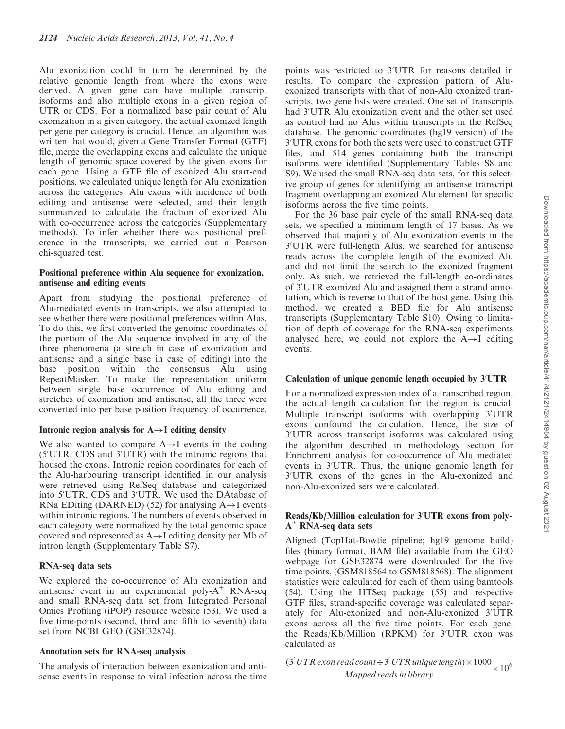Alu exonization could in turn be determined by the relative genomic length from where the exons were derived. A given gene can have multiple transcript isoforms and also multiple exons in a given region of UTR or CDS. For a normalized base pair count of Alu exonization in a given category, the actual exonized length per gene per category is crucial. Hence, an algorithm was written that would, given a Gene Transfer Format (GTF) file, merge the overlapping exons and calculate the unique length of genomic space covered by the given exons for each gene. Using a GTF file of exonized Alu start-end positions, we calculated unique length for Alu exonization across the categories. Alu exons with incidence of both editing and antisense were selected, and their length summarized to calculate the fraction of exonized Alu with co-occurrence across the categories (Supplementary methods). To infer whether there was positional preference in the transcripts, we carried out a Pearson chi-squared test.

## Positional preference within Alu sequence for exonization, antisense and editing events

Apart from studying the positional preference of Alu-mediated events in transcripts, we also attempted to see whether there were positional preferences within Alus. To do this, we first converted the genomic coordinates of the portion of the Alu sequence involved in any of the three phenomena (a stretch in case of exonization and antisense and a single base in case of editing) into the base position within the consensus Alu using RepeatMasker. To make the representation uniform between single base occurrence of Alu editing and stretches of exonization and antisense, all the three were converted into per base position frequency of occurrence.

# Intronic region analysis for  $A \rightarrow I$  editing density

We also wanted to compare  $A \rightarrow I$  events in the coding  $(5'UTR, CDS and 3'UTR)$  with the intronic regions that housed the exons. Intronic region coordinates for each of the Alu-harbouring transcript identified in our analysis were retrieved using RefSeq database and categorized into 5'UTR, CDS and 3'UTR. We used the DAtabase of RNa EDiting (DARNED) (52) for analysing  $A \rightarrow I$  events within intronic regions. The numbers of events observed in each category were normalized by the total genomic space covered and represented as  $A \rightarrow I$  editing density per Mb of intron length (Supplementary Table S7).

# RNA-seq data sets

We explored the co-occurrence of Alu exonization and antisense event in an experimental poly- $A^+$  RNA-seq and small RNA-seq data set from Integrated Personal Omics Profiling (iPOP) resource website (53). We used a five time-points (second, third and fifth to seventh) data set from NCBI GEO (GSE32874).

# Annotation sets for RNA-seq analysis

The analysis of interaction between exonization and antisense events in response to viral infection across the time points was restricted to 3'UTR for reasons detailed in results. To compare the expression pattern of Aluexonized transcripts with that of non-Alu exonized transcripts, two gene lists were created. One set of transcripts had 3'UTR Alu exonization event and the other set used as control had no Alus within transcripts in the RefSeq database. The genomic coordinates (hg19 version) of the 3 <sup>0</sup>UTR exons for both the sets were used to construct GTF files, and 514 genes containing both the transcript isoforms were identified (Supplementary Tables S8 and S9). We used the small RNA-seq data sets, for this selective group of genes for identifying an antisense transcript fragment overlapping an exonized Alu element for specific isoforms across the five time points.

For the 36 base pair cycle of the small RNA-seq data sets, we specified a minimum length of 17 bases. As we observed that majority of Alu exonization events in the 3 <sup>0</sup>UTR were full-length Alus, we searched for antisense reads across the complete length of the exonized Alu and did not limit the search to the exonized fragment only. As such, we retrieved the full-length co-ordinates of 3'UTR exonized Alu and assigned them a strand annotation, which is reverse to that of the host gene. Using this method, we created a BED file for Alu antisense transcripts (Supplementary Table S10). Owing to limitation of depth of coverage for the RNA-seq experiments analysed here, we could not explore the  $A \rightarrow I$  editing events.

# Calculation of unique genomic length occupied by  $3'UTR$

For a normalized expression index of a transcribed region, the actual length calculation for the region is crucial. Multiple transcript isoforms with overlapping 3'UTR exons confound the calculation. Hence, the size of 3 <sup>0</sup>UTR across transcript isoforms was calculated using the algorithm described in methodology section for Enrichment analysis for co-occurrence of Alu mediated events in 3'UTR. Thus, the unique genomic length for 3 <sup>0</sup>UTR exons of the genes in the Alu-exonized and non-Alu-exonized sets were calculated.

## Reads/Kb/Million calculation for 3'UTR exons from poly-A<sup>+</sup> RNA-seq data sets

Aligned (TopHat-Bowtie pipeline; hg19 genome build) files (binary format, BAM file) available from the GEO webpage for GSE32874 were downloaded for the five time points, (GSM818564 to GSM818568). The alignment statistics were calculated for each of them using bamtools (54). Using the HTSeq package (55) and respective GTF files, strand-specific coverage was calculated separately for Alu-exonized and non-Alu-exonized 3'UTR exons across all the five time points. For each gene, the Reads/Kb/Million (RPKM) for  $3'UTR$  exon was calculated as

 $(3' UTR$  exon read count:  $3' UTR$  unique length $) \times 1000$ *Mapped reads in library*  $10^{6}$   $\times 10^{6}$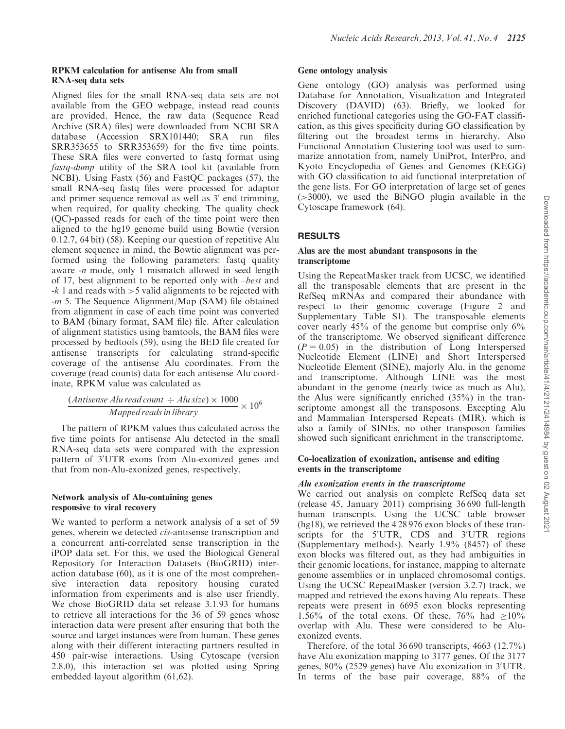## RPKM calculation for antisense Alu from small RNA-seq data sets

Aligned files for the small RNA-seq data sets are not available from the GEO webpage, instead read counts are provided. Hence, the raw data (Sequence Read Archive (SRA) files) were downloaded from NCBI SRA database (Accession SRX101440; SRA run files SRR353655 to SRR353659) for the five time points. These SRA files were converted to fastq format using *fastq-dump* utility of the SRA tool kit (available from NCBI). Using Fastx (56) and FastQC packages (57), the small RNA-seq fastq files were processed for adaptor and primer sequence removal as well as 3' end trimming, when required, for quality checking. The quality check (QC)-passed reads for each of the time point were then aligned to the hg19 genome build using Bowtie (version 0.12.7, 64 bit) (58). Keeping our question of repetitive Alu element sequence in mind, the Bowtie alignment was performed using the following parameters: fastq quality aware *-n* mode, only 1 mismatch allowed in seed length of 17, best alignment to be reported only with *–best* and *-k* 1 and reads with >5 valid alignments to be rejected with *-m* 5. The Sequence Alignment/Map (SAM) file obtained from alignment in case of each time point was converted to BAM (binary format, SAM file) file. After calculation of alignment statistics using bamtools, the BAM files were processed by bedtools (59), using the BED file created for antisense transcripts for calculating strand-specific coverage of the antisense Alu coordinates. From the coverage (read counts) data for each antisense Alu coordinate, RPKM value was calculated as

$$
\frac{(Antisense\ Alu\ read\ count \div Alu\ size) \times 1000}{\ Mapped\ reads\ in\ library} \times 10^6
$$

The pattern of RPKM values thus calculated across the five time points for antisense Alu detected in the small RNA-seq data sets were compared with the expression pattern of 3'UTR exons from Alu-exonized genes and that from non-Alu-exonized genes, respectively.

# Network analysis of Alu-containing genes responsive to viral recovery

We wanted to perform a network analysis of a set of 59 genes, wherein we detected *cis*-antisense transcription and a concurrent anti-correlated sense transcription in the iPOP data set. For this, we used the Biological General Repository for Interaction Datasets (BioGRID) interaction database (60), as it is one of the most comprehensive interaction data repository housing curated information from experiments and is also user friendly. We chose BioGRID data set release 3.1.93 for humans to retrieve all interactions for the 36 of 59 genes whose interaction data were present after ensuring that both the source and target instances were from human. These genes along with their different interacting partners resulted in 450 pair-wise interactions. Using Cytoscape (version 2.8.0), this interaction set was plotted using Spring embedded layout algorithm (61,62).

# Gene ontology analysis

Gene ontology (GO) analysis was performed using Database for Annotation, Visualization and Integrated Discovery (DAVID) (63). Briefly, we looked for enriched functional categories using the GO-FAT classification, as this gives specificity during GO classification by filtering out the broadest terms in hierarchy. Also Functional Annotation Clustering tool was used to summarize annotation from, namely UniProt, InterPro, and Kyoto Encyclopedia of Genes and Genomes (KEGG) with GO classification to aid functional interpretation of the gene lists. For GO interpretation of large set of genes (>3000), we used the BiNGO plugin available in the Cytoscape framework (64).

# RESULTS

## Alus are the most abundant transposons in the transcriptome

Using the RepeatMasker track from UCSC, we identified all the transposable elements that are present in the RefSeq mRNAs and compared their abundance with respect to their genomic coverage (Figure 2 and Supplementary Table S1). The transposable elements cover nearly 45% of the genome but comprise only 6% of the transcriptome. We observed significant difference  $(P = 0.05)$  in the distribution of Long Interspersed Nucleotide Element (LINE) and Short Interspersed Nucleotide Element (SINE), majorly Alu, in the genome and transcriptome. Although LINE was the most abundant in the genome (nearly twice as much as Alu), the Alus were significantly enriched (35%) in the transcriptome amongst all the transposons. Excepting Alu and Mammalian Interspersed Repeats (MIR), which is also a family of SINEs, no other transposon families showed such significant enrichment in the transcriptome.

### Co-localization of exonization, antisense and editing events in the transcriptome

# Alu exonization events in the transcriptome

We carried out analysis on complete RefSeq data set (release 45, January 2011) comprising 36 690 full-length human transcripts. Using the UCSC table browser (hg18), we retrieved the 4 28 976 exon blocks of these transcripts for the 5'UTR, CDS and 3'UTR regions (Supplementary methods). Nearly 1.9% (8457) of these exon blocks was filtered out, as they had ambiguities in their genomic locations, for instance, mapping to alternate genome assemblies or in unplaced chromosomal contigs. Using the UCSC RepeatMasker (version 3.2.7) track, we mapped and retrieved the exons having Alu repeats. These repeats were present in 6695 exon blocks representing 1.56% of the total exons. Of these, 76% had  $\geq 10\%$ overlap with Alu. These were considered to be Aluexonized events.

Therefore, of the total  $36,690$  transcripts,  $4663, (12.7%)$ have Alu exonization mapping to 3177 genes. Of the 3177 genes,  $80\%$  (2529 genes) have Alu exonization in  $3'UTR$ . In terms of the base pair coverage, 88% of the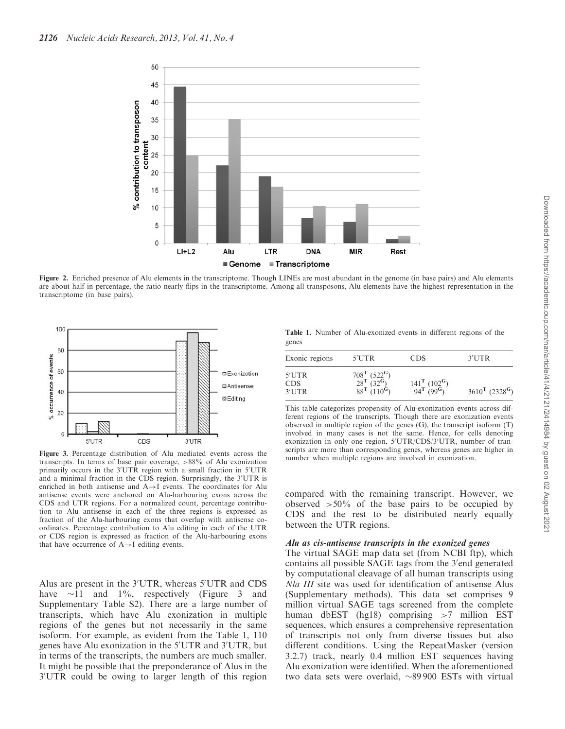

Figure 2. Enriched presence of Alu elements in the transcriptome. Though LINEs are most abundant in the genome (in base pairs) and Alu elements are about half in percentage, the ratio nearly flips in the transcriptome. Among all transposons, Alu elements have the highest representation in the transcriptome (in base pairs).



Figure 3. Percentage distribution of Alu mediated events across the transcripts. In terms of base pair coverage, >88% of Alu exonization primarily occurs in the 3'UTR region with a small fraction in 5'UTR and a minimal fraction in the CDS region. Surprisingly, the 3'UTR is enriched in both antisense and  $A \rightarrow I$  events. The coordinates for Alu antisense events were anchored on Alu-harbouring exons across the CDS and UTR regions. For a normalized count, percentage contribution to Alu antisense in each of the three regions is expressed as fraction of the Alu-harbouring exons that overlap with antisense coordinates. Percentage contribution to Alu editing in each of the UTR or CDS region is expressed as fraction of the Alu-harbouring exons that have occurrence of  $A \rightarrow I$  editing events.

Alus are present in the 3'UTR, whereas 5'UTR and CDS have  $\sim$ 11 and 1%, respectively (Figure 3 and Supplementary Table S2). There are a large number of transcripts, which have Alu exonization in multiple regions of the genes but not necessarily in the same isoform. For example, as evident from the Table 1, 110 genes have Alu exonization in the 5<sup>'</sup>UTR and 3<sup>'</sup>UTR, but in terms of the transcripts, the numbers are much smaller. It might be possible that the preponderance of Alus in the 3 <sup>0</sup>UTR could be owing to larger length of this region

Table 1. Number of Alu-exonized events in different regions of the genes

| Exonic regions               | 5'UTR                                                                                                    | <b>CDS</b>                                                     | 3'UTR                                    |
|------------------------------|----------------------------------------------------------------------------------------------------------|----------------------------------------------------------------|------------------------------------------|
| 5'UTR<br><b>CDS</b><br>3'UTR | $708^{\rm T}$ (522 <sup>G</sup> )<br>$28^{\rm T}$ (32 <sup>G</sup> )<br>$88^{\rm T}$ (110 <sup>G</sup> ) | $141^T$ (102 <sup>G</sup> )<br>$94^{\rm T}$ (99 <sup>G</sup> ) | $3610^{\mathrm{T}}$ (2328 <sup>G</sup> ) |

This table categorizes propensity of Alu-exonization events across different regions of the transcripts. Though there are exonization events observed in multiple region of the genes (G), the transcript isoform (T) involved in many cases is not the same. Hence, for cells denoting exonization in only one region, 5'UTR/CDS/3'UTR, number of transcripts are more than corresponding genes, whereas genes are higher in number when multiple regions are involved in exonization.

compared with the remaining transcript. However, we observed  $>50\%$  of the base pairs to be occupied by CDS and the rest to be distributed nearly equally between the UTR regions.

#### Alu as cis-antisense transcripts in the exonized genes

The virtual SAGE map data set (from NCBI ftp), which contains all possible SAGE tags from the 3'end generated by computational cleavage of all human transcripts using *Nla III* site was used for identification of antisense Alus (Supplementary methods). This data set comprises 9 million virtual SAGE tags screened from the complete human dbEST (hg18) comprising >7 million EST sequences, which ensures a comprehensive representation of transcripts not only from diverse tissues but also different conditions. Using the RepeatMasker (version 3.2.7) track, nearly 0.4 million EST sequences having Alu exonization were identified. When the aforementioned two data sets were overlaid,  $\sim 89900$  ESTs with virtual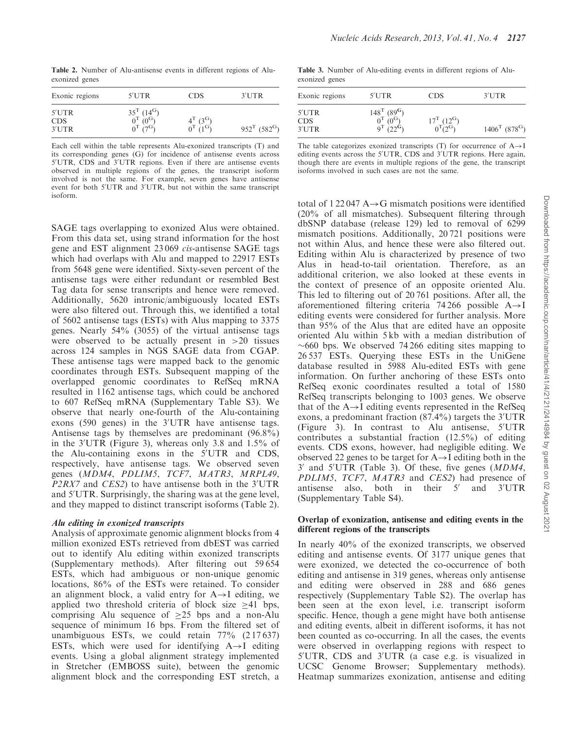Table 2. Number of Alu-antisense events in different regions of Aluexonized genes

| Exonic regions               | 5'UTR                                            | CDS.                      | 3'UTR                             |
|------------------------------|--------------------------------------------------|---------------------------|-----------------------------------|
| 5'UTR<br><b>CDS</b><br>3'UTR | $35^T (14^G)$<br>$0^{\text{T}}$ $(7^{\text{G}})$ | $4^{T}$ $(3^{G})$<br>(1G) | $952^{\text{T}} (582^{\text{G}})$ |

Each cell within the table represents Alu-exonized transcripts (T) and its corresponding genes (G) for incidence of antisense events across 5'UTR, CDS and 3'UTR regions. Even if there are antisense events observed in multiple regions of the genes, the transcript isoform involved is not the same. For example, seven genes have antisense event for both 5'UTR and 3'UTR, but not within the same transcript isoform.

SAGE tags overlapping to exonized Alus were obtained. From this data set, using strand information for the host gene and EST alignment 23 069 *cis*-antisense SAGE tags which had overlaps with Alu and mapped to 22917 ESTs from 5648 gene were identified. Sixty-seven percent of the antisense tags were either redundant or resembled Best Tag data for sense transcripts and hence were removed. Additionally, 5620 intronic/ambiguously located ESTs were also filtered out. Through this, we identified a total of 5602 antisense tags (ESTs) with Alus mapping to 3375 genes. Nearly 54% (3055) of the virtual antisense tags were observed to be actually present in >20 tissues across 124 samples in NGS SAGE data from CGAP. These antisense tags were mapped back to the genomic coordinates through ESTs. Subsequent mapping of the overlapped genomic coordinates to RefSeq mRNA resulted in 1162 antisense tags, which could be anchored to 607 RefSeq mRNA (Supplementary Table S3). We observe that nearly one-fourth of the Alu-containing exons  $(590 \text{ genes})$  in the  $3'UTR$  have antisense tags. Antisense tags by themselves are predominant (96.8%) in the 3<sup>'</sup>UTR (Figure 3), whereas only 3.8 and  $1.5\%$  of the Alu-containing exons in the  $5'UTR$  and CDS, respectively, have antisense tags. We observed seven genes (*MDM4*, *PDLIM5*, *TCF7*, *MATR3*, *MRPL49*, *P2RX7* and *CES2*) to have antisense both in the 3<sup>'</sup>UTR and 5<sup>'</sup>UTR. Surprisingly, the sharing was at the gene level, and they mapped to distinct transcript isoforms (Table 2).

### Alu editing in exonized transcripts

Analysis of approximate genomic alignment blocks from 4 million exonized ESTs retrieved from dbEST was carried out to identify Alu editing within exonized transcripts (Supplementary methods). After filtering out 59 654 ESTs, which had ambiguous or non-unique genomic locations, 86% of the ESTs were retained. To consider an alignment block, a valid entry for  $A \rightarrow I$  editing, we applied two threshold criteria of block size  $>41$  bps, comprising Alu sequence of  $\geq 25$  bps and a non-Alu sequence of minimum 16 bps. From the filtered set of unambiguous ESTs, we could retain 77% (2 17 637) ESTs, which were used for identifying  $A \rightarrow I$  editing events. Using a global alignment strategy implemented in Stretcher (EMBOSS suite), between the genomic alignment block and the corresponding EST stretch, a

Table 3. Number of Alu-editing events in different regions of Aluexonized genes

| Exonic regions               | 5'UTR                                               | CDS.                                            | 3'UTR                                 |
|------------------------------|-----------------------------------------------------|-------------------------------------------------|---------------------------------------|
| 5'UTR<br><b>CDS</b><br>3'UTR | $148^{\text{T}} (89^{\text{G}})$<br>$Q^T$ (22 $G$ ) | $17^{\rm T}$ (12 <sup>G</sup> )<br>$0^{T}(2^G)$ | $1406^{\text{T}}$ (878 <sup>G</sup> ) |

The table categorizes exonized transcripts (T) for occurrence of  $A \rightarrow I$ editing events across the 5'UTR, CDS and 3'UTR regions. Here again, though there are events in multiple regions of the gene, the transcript isoforms involved in such cases are not the same.

total of 1 22 047  $A \rightarrow G$  mismatch positions were identified  $(20\%$  of all mismatches). Subsequent filtering through dbSNP database (release 129) led to removal of 6299 mismatch positions. Additionally, 20 721 positions were not within Alus, and hence these were also filtered out. Editing within Alu is characterized by presence of two Alus in head-to-tail orientation. Therefore, as an additional criterion, we also looked at these events in the context of presence of an opposite oriented Alu. This led to filtering out of 20 761 positions. After all, the aforementioned filtering criteria 74 266 possible  $A \rightarrow I$ editing events were considered for further analysis. More than 95% of the Alus that are edited have an opposite oriented Alu within 5 kb with a median distribution of  $\sim$  660 bps. We observed 74.266 editing sites mapping to 26 537 ESTs. Querying these ESTs in the UniGene database resulted in 5988 Alu-edited ESTs with gene information. On further anchoring of these ESTs onto RefSeq exonic coordinates resulted a total of 1580 RefSeq transcripts belonging to 1003 genes. We observe that of the  $A \rightarrow I$  editing events represented in the RefSeq exons, a predominant fraction  $(87.4\%)$  targets the 3'UTR (Figure 3). In contrast to Alu antisense,  $5'UTR$ contributes a substantial fraction (12.5%) of editing events. CDS exons, however, had negligible editing. We observed 22 genes to be target for  $A \rightarrow I$  editing both in the 3' and 5'UTR (Table 3). Of these, five genes (MDM4, *PDLIM5*, *TCF7*, *MATR3* and *CES2*) had presence of antisense also, both in their  $5'$  and  $3'UTR$ (Supplementary Table S4).

### Overlap of exonization, antisense and editing events in the different regions of the transcripts

In nearly 40% of the exonized transcripts, we observed editing and antisense events. Of 3177 unique genes that were exonized, we detected the co-occurrence of both editing and antisense in 319 genes, whereas only antisense and editing were observed in 288 and 686 genes respectively (Supplementary Table S2). The overlap has been seen at the exon level, i.e. transcript isoform specific. Hence, though a gene might have both antisense and editing events, albeit in different isoforms, it has not been counted as co-occurring. In all the cases, the events were observed in overlapping regions with respect to 5'UTR, CDS and 3'UTR (a case e.g. is visualized in UCSC Genome Browser; Supplementary methods). Heatmap summarizes exonization, antisense and editing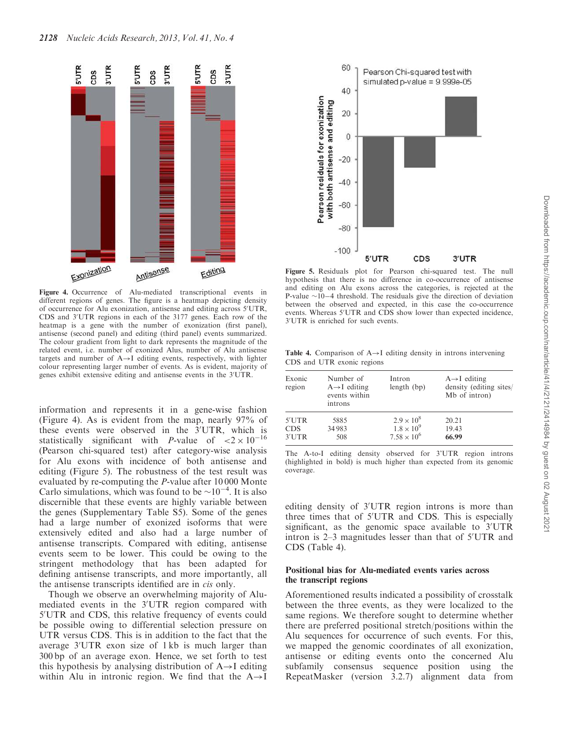

Figure 4. Occurrence of Alu-mediated transcriptional events in different regions of genes. The figure is a heatmap depicting density of occurrence for Alu exonization, antisense and editing across 5'UTR, CDS and 3'UTR regions in each of the 3177 genes. Each row of the heatmap is a gene with the number of exonization (first panel), antisense (second panel) and editing (third panel) events summarized. The colour gradient from light to dark represents the magnitude of the related event, i.e. number of exonized Alus, number of Alu antisense targets and number of  $A \rightarrow I$  editing events, respectively, with lighter colour representing larger number of events. As is evident, majority of genes exhibit extensive editing and antisense events in the 3'UTR.

information and represents it in a gene-wise fashion (Figure 4). As is evident from the map, nearly 97% of these events were observed in the 3'UTR, which is statistically significant with *P*-value of  $\langle 2 \times 10^{-16} \rangle$ (Pearson chi-squared test) after category-wise analysis for Alu exons with incidence of both antisense and editing (Figure 5). The robustness of the test result was evaluated by re-computing the *P*-value after 10 000 Monte Carlo simulations, which was found to be  $\sim 10^{-4}$ . It is also discernible that these events are highly variable between the genes (Supplementary Table S5). Some of the genes had a large number of exonized isoforms that were extensively edited and also had a large number of antisense transcripts. Compared with editing, antisense events seem to be lower. This could be owing to the stringent methodology that has been adapted for defining antisense transcripts, and more importantly, all the antisense transcripts identified are in *cis* only.

Though we observe an overwhelming majority of Alumediated events in the 3<sup>'</sup>UTR region compared with 5 <sup>0</sup>UTR and CDS, this relative frequency of events could be possible owing to differential selection pressure on UTR versus CDS. This is in addition to the fact that the average  $3'UTR$  exon size of 1 kb is much larger than 300 bp of an average exon. Hence, we set forth to test this hypothesis by analysing distribution of  $A \rightarrow I$  editing within Alu in intronic region. We find that the  $A \rightarrow I$ 



Figure 5. Residuals plot for Pearson chi-squared test. The null hypothesis that there is no difference in co-occurrence of antisense and editing on Alu exons across the categories, is rejected at the P-value  $\sim$ 10–4 threshold. The residuals give the direction of deviation between the observed and expected, in this case the co-occurrence events. Whereas 5'UTR and CDS show lower than expected incidence, 3 <sup>0</sup>UTR is enriched for such events.

Table 4. Comparison of  $A \rightarrow I$  editing density in introns intervening CDS and UTR exonic regions

| Exonic<br>region | Number of<br>$A \rightarrow I$ editing<br>events within<br>introns | Intron<br>length (bp) | $A \rightarrow I$ editing<br>density (editing sites/<br>Mb of intron) |
|------------------|--------------------------------------------------------------------|-----------------------|-----------------------------------------------------------------------|
| 5'UTR            | 5885                                                               | $2.9 \times 10^{8}$   | 20.21                                                                 |
| <b>CDS</b>       | 34983                                                              | $1.8 \times 10^{9}$   | 19.43                                                                 |
| 3'UTR            | 508                                                                | $7.58 \times 10^{6}$  | 66.99                                                                 |

The A-to-I editing density observed for 3'UTR region introns (highlighted in bold) is much higher than expected from its genomic coverage.

editing density of 3'UTR region introns is more than three times that of  $5'UTR$  and CDS. This is especially significant, as the genomic space available to  $3'UTR$ intron is  $2-3$  magnitudes lesser than that of  $5'UTR$  and CDS (Table 4).

### Positional bias for Alu-mediated events varies across the transcript regions

Aforementioned results indicated a possibility of crosstalk between the three events, as they were localized to the same regions. We therefore sought to determine whether there are preferred positional stretch/positions within the Alu sequences for occurrence of such events. For this, we mapped the genomic coordinates of all exonization, antisense or editing events onto the concerned Alu subfamily consensus sequence position using the RepeatMasker (version 3.2.7) alignment data from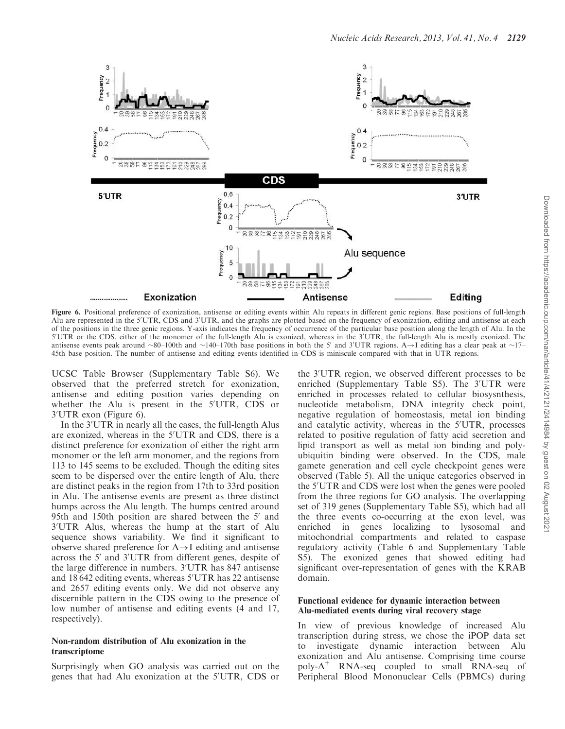

Figure 6. Positional preference of exonization, antisense or editing events within Alu repeats in different genic regions. Base positions of full-length Alu are represented in the 5'UTR, CDS and 3'UTR, and the graphs are plotted based on the frequency of exonization, editing and antisense at each of the positions in the three genic regions. Y-axis indicates the frequency of occurrence of the particular base position along the length of Alu. In the 5'UTR or the CDS, either of the monomer of the full-length Alu is exonized, whereas in the 3'UTR, the full-length Alu is mostly exonized. The antisense events peak around ~80–100th and ~140–170th base positions in both the 5' and 3'UTR regions. A  $\rightarrow$ I editing has a clear peak at ~17– 45th base position. The number of antisense and editing events identified in CDS is miniscule compared with that in UTR regions.

UCSC Table Browser (Supplementary Table S6). We observed that the preferred stretch for exonization, antisense and editing position varies depending on whether the Alu is present in the 5'UTR, CDS or 3 <sup>0</sup>UTR exon (Figure 6).

In the 3<sup>'</sup>UTR in nearly all the cases, the full-length Alus are exonized, whereas in the 5<sup>'</sup>UTR and CDS, there is a distinct preference for exonization of either the right arm monomer or the left arm monomer, and the regions from 113 to 145 seems to be excluded. Though the editing sites seem to be dispersed over the entire length of Alu, there are distinct peaks in the region from 17th to 33rd position in Alu. The antisense events are present as three distinct humps across the Alu length. The humps centred around 95th and 150th position are shared between the 5<sup>'</sup> and 3 <sup>0</sup>UTR Alus, whereas the hump at the start of Alu sequence shows variability. We find it significant to observe shared preference for  $A \rightarrow I$  editing and antisense across the 5' and 3'UTR from different genes, despite of the large difference in numbers. 3'UTR has 847 antisense and 18 642 editing events, whereas 5<sup>'</sup>UTR has 22 antisense and 2657 editing events only. We did not observe any discernible pattern in the CDS owing to the presence of low number of antisense and editing events (4 and 17, respectively).

#### Non-random distribution of Alu exonization in the transcriptome

Surprisingly when GO analysis was carried out on the genes that had Alu exonization at the 5'UTR, CDS or

the 3<sup>'</sup>UTR region, we observed different processes to be enriched (Supplementary Table S5). The 3'UTR were enriched in processes related to cellular biosysnthesis, nucleotide metabolism, DNA integrity check point, negative regulation of homeostasis, metal ion binding and catalytic activity, whereas in the 5<sup>'</sup>UTR, processes related to positive regulation of fatty acid secretion and lipid transport as well as metal ion binding and polyubiquitin binding were observed. In the CDS, male gamete generation and cell cycle checkpoint genes were observed (Table 5). All the unique categories observed in the 5<sup>'</sup>UTR and CDS were lost when the genes were pooled from the three regions for GO analysis. The overlapping set of 319 genes (Supplementary Table S5), which had all the three events co-occurring at the exon level, was enriched in genes localizing to lysosomal and mitochondrial compartments and related to caspase regulatory activity (Table 6 and Supplementary Table S5). The exonized genes that showed editing had significant over-representation of genes with the KRAB domain.

### Functional evidence for dynamic interaction between Alu-mediated events during viral recovery stage

In view of previous knowledge of increased Alu transcription during stress, we chose the iPOP data set to investigate dynamic interaction between Alu exonization and Alu antisense. Comprising time course poly- $A^+$  RNA-seq coupled to small RNA-seq of Peripheral Blood Mononuclear Cells (PBMCs) during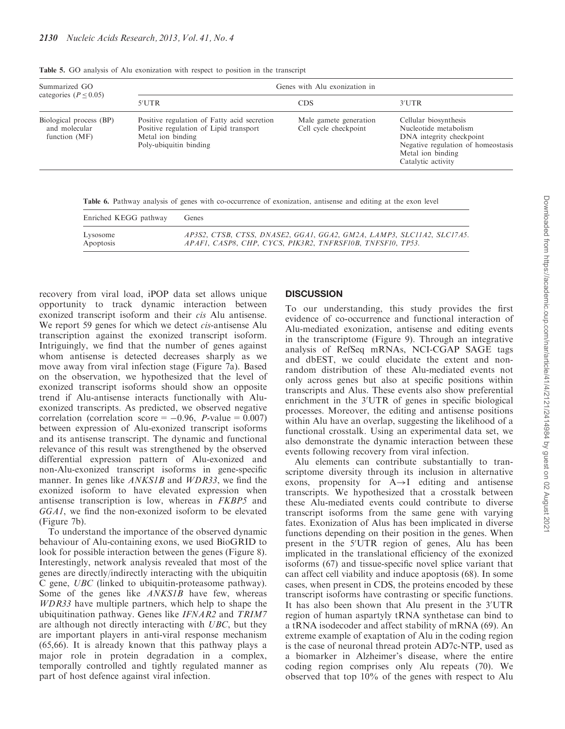| Summarized GO<br>categories ( $P < 0.05$ )                | Genes with Alu exonization in                                                                                                        |                                                 |                                                                                                                                                             |
|-----------------------------------------------------------|--------------------------------------------------------------------------------------------------------------------------------------|-------------------------------------------------|-------------------------------------------------------------------------------------------------------------------------------------------------------------|
|                                                           | 5'UTR                                                                                                                                | <b>CDS</b>                                      | $3'$ UTR                                                                                                                                                    |
| Biological process (BP)<br>and molecular<br>function (MF) | Positive regulation of Fatty acid secretion<br>Positive regulation of Lipid transport<br>Metal ion binding<br>Poly-ubiquitin binding | Male gamete generation<br>Cell cycle checkpoint | Cellular biosynthesis<br>Nucleotide metabolism<br>DNA integrity checkpoint<br>Negative regulation of homeostasis<br>Metal ion binding<br>Catalytic activity |

Table 5. GO analysis of Alu exonization with respect to position in the transcript

Table 6. Pathway analysis of genes with co-occurrence of exonization, antisense and editing at the exon level

| Enriched KEGG pathway | Genes                                                                 |
|-----------------------|-----------------------------------------------------------------------|
| Lysosome              | AP3S2, CTSB, CTSS, DNASE2, GGA1, GGA2, GM2A, LAMP3, SLC11A2, SLC17A5. |
| Apoptosis             | APAF1, CASP8, CHP, CYCS, PIK3R2, TNFRSF10B, TNFSF10, TP53.            |

recovery from viral load, iPOP data set allows unique opportunity to track dynamic interaction between exonized transcript isoform and their *cis* Alu antisense. We report 59 genes for which we detect *cis*-antisense Alu transcription against the exonized transcript isoform. Intriguingly, we find that the number of genes against whom antisense is detected decreases sharply as we move away from viral infection stage (Figure 7a). Based on the observation, we hypothesized that the level of exonized transcript isoforms should show an opposite trend if Alu-antisense interacts functionally with Aluexonized transcripts. As predicted, we observed negative correlation (correlation score  $= -0.96$ , *P*-value  $= 0.007$ ) between expression of Alu-exonized transcript isoforms and its antisense transcript. The dynamic and functional relevance of this result was strengthened by the observed differential expression pattern of Alu-exonized and non-Alu-exonized transcript isoforms in gene-specific manner. In genes like *ANKS1B* and *WDR33*, we find the exonized isoform to have elevated expression when antisense transcription is low, whereas in *FKBP5* and *GGA1*, we find the non-exonized isoform to be elevated (Figure 7b).

To understand the importance of the observed dynamic behaviour of Alu-containing exons, we used BioGRID to look for possible interaction between the genes (Figure 8). Interestingly, network analysis revealed that most of the genes are directly/indirectly interacting with the ubiquitin C gene, *UBC* (linked to ubiquitin-proteasome pathway). Some of the genes like *ANKS1B* have few, whereas *WDR33* have multiple partners, which help to shape the ubiquitination pathway. Genes like *IFNAR2* and *TRIM7* are although not directly interacting with *UBC*, but they are important players in anti-viral response mechanism (65,66). It is already known that this pathway plays a major role in protein degradation in a complex, temporally controlled and tightly regulated manner as part of host defence against viral infection.

# **DISCUSSION**

To our understanding, this study provides the first evidence of co-occurrence and functional interaction of Alu-mediated exonization, antisense and editing events in the transcriptome (Figure 9). Through an integrative analysis of RefSeq mRNAs, NCI-CGAP SAGE tags and dbEST, we could elucidate the extent and nonrandom distribution of these Alu-mediated events not only across genes but also at specific positions within transcripts and Alus. These events also show preferential enrichment in the  $3'UTR$  of genes in specific biological processes. Moreover, the editing and antisense positions within Alu have an overlap, suggesting the likelihood of a functional crosstalk. Using an experimental data set, we also demonstrate the dynamic interaction between these events following recovery from viral infection.

Alu elements can contribute substantially to transcriptome diversity through its inclusion in alternative exons, propensity for  $A \rightarrow I$  editing and antisense transcripts. We hypothesized that a crosstalk between these Alu-mediated events could contribute to diverse transcript isoforms from the same gene with varying fates. Exonization of Alus has been implicated in diverse functions depending on their position in the genes. When present in the 5'UTR region of genes, Alu has been implicated in the translational efficiency of the exonized isoforms (67) and tissue-specific novel splice variant that can affect cell viability and induce apoptosis (68). In some cases, when present in CDS, the proteins encoded by these transcript isoforms have contrasting or specific functions. It has also been shown that Alu present in the  $3'UTR$ region of human aspartyly tRNA synthetase can bind to a tRNA isodecoder and affect stability of mRNA (69). An extreme example of exaptation of Alu in the coding region is the case of neuronal thread protein AD7c-NTP, used as a biomarker in Alzheimer's disease, where the entire coding region comprises only Alu repeats (70). We observed that top 10% of the genes with respect to Alu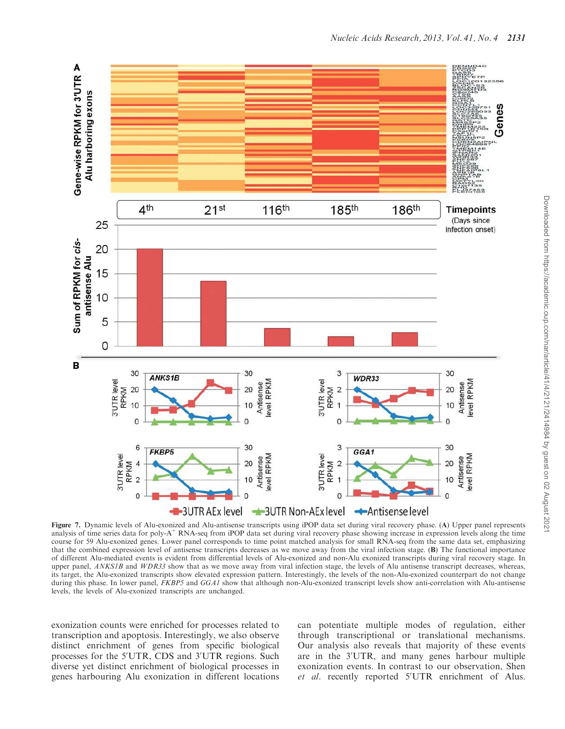

Figure 7. Dynamic levels of Alu-exonized and Alu-antisense transcripts using iPOP data set during viral recovery phase. (A) Upper panel represents analysis of time series data for poly-A<sup>+</sup> RNA-seq from iPOP data set during viral recovery phase showing increase in expression levels along the time course for 59 Alu-exonized genes. Lower panel corresponds to time point matched analysis for small RNA-seq from the same data set, emphasizing that the combined expression level of antisense transcripts decreases as we move away from the viral infection stage. (B) The functional importance of different Alu-mediated events is evident from differential levels of Alu-exonized and non-Alu exonized transcripts during viral recovery stage. In upper panel, *ANKS1B* and *WDR33* show that as we move away from viral infection stage, the levels of Alu antisense transcript decreases, whereas, its target, the Alu-exonized transcripts show elevated expression pattern. Interestingly, the levels of the non-Alu-exonized counterpart do not change during this phase. In lower panel, *FKBP5* and *GGA1* show that although non-Alu-exonized transcript levels show anti-correlation with Alu-antisense levels, the levels of Alu-exonized transcripts are unchanged.

exonization counts were enriched for processes related to transcription and apoptosis. Interestingly, we also observe distinct enrichment of genes from specific biological processes for the 5<sup>'</sup>UTR, CDS and 3<sup>'</sup>UTR regions. Such diverse yet distinct enrichment of biological processes in genes harbouring Alu exonization in different locations can potentiate multiple modes of regulation, either through transcriptional or translational mechanisms. Our analysis also reveals that majority of these events are in the  $3'UTR$ , and many genes harbour multiple exonization events. In contrast to our observation, Shen et al. recently reported 5'UTR enrichment of Alus.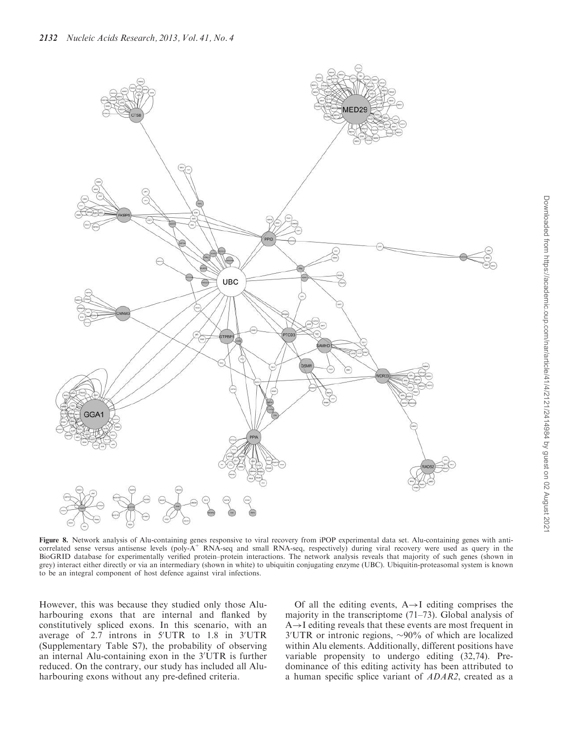

Figure 8. Network analysis of Alu-containing genes responsive to viral recovery from iPOP experimental data set. Alu-containing genes with anticorrelated sense versus antisense levels (poly- $A^+$  RNA-seq and small RNA-seq, respectively) during viral recovery were used as query in the BioGRID database for experimentally verified protein–protein interactions. The network analysis reveals that majority of such genes (shown in grey) interact either directly or via an intermediary (shown in white) to ubiquitin conjugating enzyme (UBC). Ubiquitin-proteasomal system is known to be an integral component of host defence against viral infections.

However, this was because they studied only those Aluharbouring exons that are internal and flanked by constitutively spliced exons. In this scenario, with an average of  $2.7$  introns in  $5'UTR$  to 1.8 in  $3'UTR$ (Supplementary Table S7), the probability of observing an internal Alu-containing exon in the  $3'UTR$  is further reduced. On the contrary, our study has included all Aluharbouring exons without any pre-defined criteria.

Of all the editing events,  $A \rightarrow I$  editing comprises the majority in the transcriptome (71–73). Global analysis of  $A \rightarrow I$  editing reveals that these events are most frequent in 3'UTR or intronic regions,  $\sim$ 90% of which are localized within Alu elements. Additionally, different positions have variable propensity to undergo editing (32,74). Predominance of this editing activity has been attributed to a human specific splice variant of *ADAR2*, created as a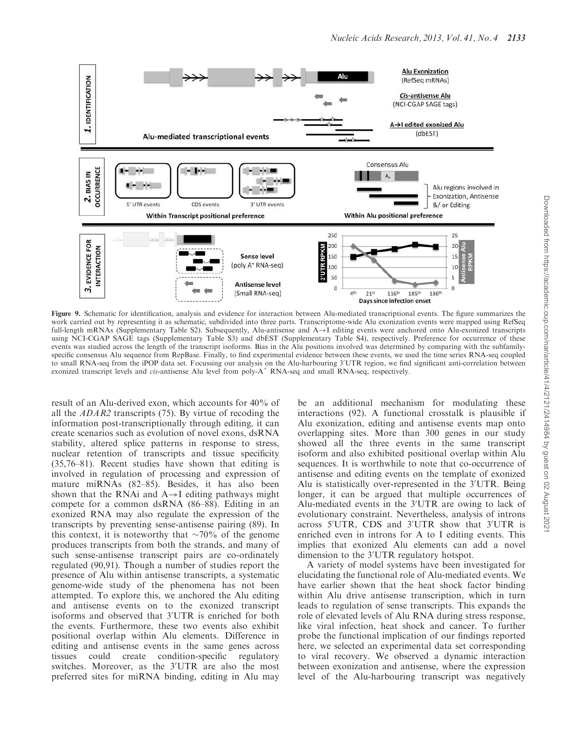

Figure 9. Schematic for identification, analysis and evidence for interaction between Alu-mediated transcriptional events. The figure summarizes the work carried out by representing it as schematic, subdivided into three parts. Transcriptome-wide Alu exonization events were mapped using RefSeq full-length mRNAs (Supplementary Table S2). Subsequently, Alu-antisense and  $A \rightarrow I$  editing events were anchored onto Alu-exonized transcripts using NCI-CGAP SAGE tags (Supplementary Table S3) and dbEST (Supplementary Table S4), respectively. Preference for occurrence of these events was studied across the length of the transcript isoforms. Bias in the Alu positions involved was determined by comparing with the subfamilyspecific consensus Alu sequence from RepBase. Finally, to find experimental evidence between these events, we used the time series RNA-seq coupled to small RNA-seq from the iPOP data set. Focussing our analysis on the Alu-harbouring 3'UTR region, we find significant anti-correlation between exonized transcript levels and *cis*-antisense Alu level from poly-A<sup>+</sup> RNA-seq and small RNA-seq, respectively.

result of an Alu-derived exon, which accounts for 40% of all the *ADAR2* transcripts (75). By virtue of recoding the information post-transcriptionally through editing, it can create scenarios such as evolution of novel exons, dsRNA stability, altered splice patterns in response to stress, nuclear retention of transcripts and tissue specificity (35,76–81). Recent studies have shown that editing is involved in regulation of processing and expression of mature miRNAs (82–85). Besides, it has also been shown that the RNAi and  $A \rightarrow I$  editing pathways might compete for a common dsRNA (86–88). Editing in an exonized RNA may also regulate the expression of the transcripts by preventing sense-antisense pairing (89). In this context, it is noteworthy that  $\sim$ 70% of the genome produces transcripts from both the strands, and many of such sense-antisense transcript pairs are co-ordinately regulated (90,91). Though a number of studies report the presence of Alu within antisense transcripts, a systematic genome-wide study of the phenomena has not been attempted. To explore this, we anchored the Alu editing and antisense events on to the exonized transcript isoforms and observed that 3'UTR is enriched for both the events. Furthermore, these two events also exhibit positional overlap within Alu elements. Difference in editing and antisense events in the same genes across tissues could create condition-specific regulatory switches. Moreover, as the 3'UTR are also the most preferred sites for miRNA binding, editing in Alu may

be an additional mechanism for modulating these interactions (92). A functional crosstalk is plausible if Alu exonization, editing and antisense events map onto overlapping sites. More than 300 genes in our study showed all the three events in the same transcript isoform and also exhibited positional overlap within Alu sequences. It is worthwhile to note that co-occurrence of antisense and editing events on the template of exonized Alu is statistically over-represented in the 3<sup>'</sup>UTR. Being longer, it can be argued that multiple occurrences of Alu-mediated events in the  $3'UTR$  are owing to lack of evolutionary constraint. Nevertheless, analysis of introns across 5'UTR, CDS and 3'UTR show that 3'UTR is enriched even in introns for A to I editing events. This implies that exonized Alu elements can add a novel dimension to the 3'UTR regulatory hotspot.

A variety of model systems have been investigated for elucidating the functional role of Alu-mediated events. We have earlier shown that the heat shock factor binding within Alu drive antisense transcription, which in turn leads to regulation of sense transcripts. This expands the role of elevated levels of Alu RNA during stress response, like viral infection, heat shock and cancer. To further probe the functional implication of our findings reported here, we selected an experimental data set corresponding to viral recovery. We observed a dynamic interaction between exonization and antisense, where the expression level of the Alu-harbouring transcript was negatively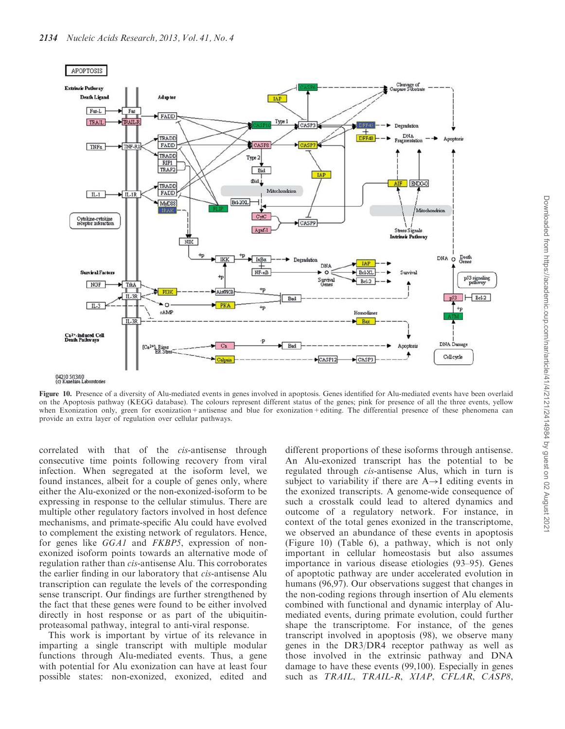

Figure 10. Presence of a diversity of Alu-mediated events in genes involved in apoptosis. Genes identified for Alu-mediated events have been overlaid on the Apoptosis pathway (KEGG database). The colours represent different status of the genes; pink for presence of all the three events, yellow when Exonization only, green for exonization+antisense and blue for exonization+editing. The differential presence of these phenomena can provide an extra layer of regulation over cellular pathways.

correlated with that of the *cis*-antisense through consecutive time points following recovery from viral infection. When segregated at the isoform level, we found instances, albeit for a couple of genes only, where either the Alu-exonized or the non-exonized-isoform to be expressing in response to the cellular stimulus. There are multiple other regulatory factors involved in host defence mechanisms, and primate-specific Alu could have evolved to complement the existing network of regulators. Hence, for genes like *GGA1* and *FKBP5*, expression of nonexonized isoform points towards an alternative mode of regulation rather than *cis*-antisense Alu. This corroborates the earlier finding in our laboratory that *cis*-antisense Alu transcription can regulate the levels of the corresponding sense transcript. Our findings are further strengthened by the fact that these genes were found to be either involved directly in host response or as part of the ubiquitinproteasomal pathway, integral to anti-viral response.

This work is important by virtue of its relevance in imparting a single transcript with multiple modular functions through Alu-mediated events. Thus, a gene with potential for Alu exonization can have at least four possible states: non-exonized, exonized, edited and

different proportions of these isoforms through antisense. An Alu-exonized transcript has the potential to be regulated through *cis-*antisense Alus, which in turn is subject to variability if there are  $A \rightarrow I$  editing events in the exonized transcripts. A genome-wide consequence of such a crosstalk could lead to altered dynamics and outcome of a regulatory network. For instance, in context of the total genes exonized in the transcriptome, we observed an abundance of these events in apoptosis (Figure 10) (Table 6), a pathway, which is not only important in cellular homeostasis but also assumes importance in various disease etiologies (93–95). Genes of apoptotic pathway are under accelerated evolution in humans (96,97). Our observations suggest that changes in the non-coding regions through insertion of Alu elements combined with functional and dynamic interplay of Alumediated events, during primate evolution, could further shape the transcriptome. For instance, of the genes transcript involved in apoptosis (98), we observe many genes in the DR3/DR4 receptor pathway as well as those involved in the extrinsic pathway and DNA damage to have these events (99,100). Especially in genes such as *TRAIL*, *TRAIL-R*, *XIAP*, *CFLAR*, *CASP8*,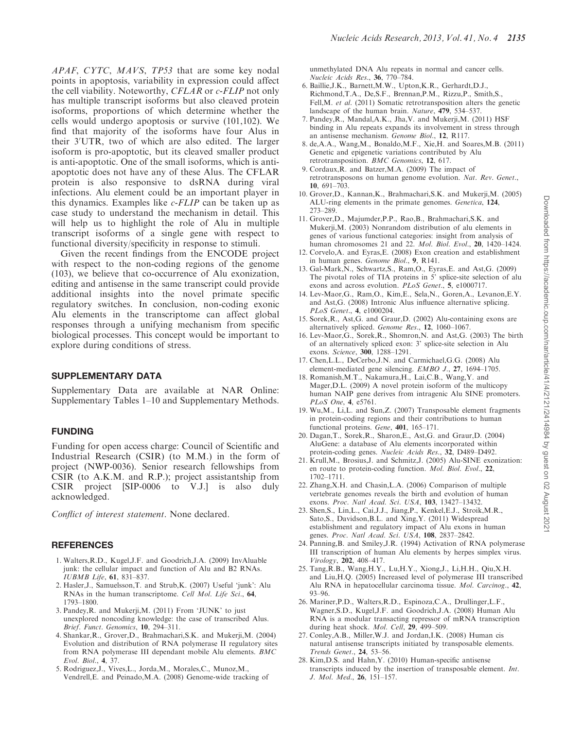*APAF*, *CYTC*, *MAVS*, *TP53* that are some key nodal points in apoptosis, variability in expression could affect the cell viability. Noteworthy, *CFLAR* or *c-FLIP* not only has multiple transcript isoforms but also cleaved protein isoforms, proportions of which determine whether the cells would undergo apoptosis or survive (101,102). We find that majority of the isoforms have four Alus in their 3'UTR, two of which are also edited. The larger isoform is pro-apoptotic, but its cleaved smaller product is anti-apoptotic. One of the small isoforms, which is antiapoptotic does not have any of these Alus. The CFLAR protein is also responsive to dsRNA during viral infections. Alu element could be an important player in this dynamics. Examples like *c-FLIP* can be taken up as case study to understand the mechanism in detail. This will help us to highlight the role of Alu in multiple transcript isoforms of a single gene with respect to functional diversity/specificity in response to stimuli.

Given the recent findings from the ENCODE project with respect to the non-coding regions of the genome (103), we believe that co-occurrence of Alu exonization, editing and antisense in the same transcript could provide additional insights into the novel primate specific regulatory switches. In conclusion, non-coding exonic Alu elements in the transcriptome can affect global responses through a unifying mechanism from specific biological processes. This concept would be important to explore during conditions of stress.

### SUPPLEMENTARY DATA

Supplementary Data are available at NAR Online: Supplementary Tables 1–10 and Supplementary Methods.

# FUNDING

Funding for open access charge: Council of Scientific and Industrial Research (CSIR) (to M.M.) in the form of project (NWP-0036). Senior research fellowships from CSIR (to A.K.M. and R.P.); project assistantship from CSIR project [SIP-0006 to V.J.] is also duly acknowledged.

*Conflict of interest statement*. None declared.

#### **REFERENCES**

- 1. Walters,R.D., Kugel,J.F. and Goodrich,J.A. (2009) InvAluable junk: the cellular impact and function of Alu and B2 RNAs. *IUBMB Life*, 61, 831–837.
- 2. Hasler,J., Samuelsson,T. and Strub,K. (2007) Useful 'junk': Alu RNAs in the human transcriptome. *Cell Mol. Life Sci.*, 64, 1793–1800.
- 3. Pandey,R. and Mukerji,M. (2011) From 'JUNK' to just unexplored noncoding knowledge: the case of transcribed Alus. *Brief. Funct. Genomics*, 10, 294–311.
- 4. Shankar,R., Grover,D., Brahmachari,S.K. and Mukerji,M. (2004) Evolution and distribution of RNA polymerase II regulatory sites from RNA polymerase III dependant mobile Alu elements. *BMC Evol. Biol.*, 4, 37.
- 5. Rodriguez,J., Vives,L., Jorda,M., Morales,C., Munoz,M., Vendrell,E. and Peinado,M.A. (2008) Genome-wide tracking of

unmethylated DNA Alu repeats in normal and cancer cells. *Nucleic Acids Res.*, 36, 770–784.

- 6. Baillie,J.K., Barnett,M.W., Upton,K.R., Gerhardt,D.J., Richmond,T.A., De,S.F., Brennan,P.M., Rizzu,P., Smith,S., Fell,M. *et al*. (2011) Somatic retrotransposition alters the genetic landscape of the human brain. *Nature*, 479, 534–537.
- 7. Pandey,R., Mandal,A.K., Jha,V. and Mukerji,M. (2011) HSF binding in Alu repeats expands its involvement in stress through an antisense mechanism. *Genome Biol.*, 12, R117.
- 8. de,A.A., Wang,M., Bonaldo,M.F., Xie,H. and Soares,M.B. (2011) Genetic and epigenetic variations contributed by Alu retrotransposition. *BMC Genomics*, 12, 617.
- 9. Cordaux,R. and Batzer,M.A. (2009) The impact of retrotransposons on human genome evolution. *Nat. Rev. Genet.*,  $10, 691 - 703$
- 10. Grover,D., Kannan,K., Brahmachari,S.K. and Mukerji,M. (2005) ALU-ring elements in the primate genomes. *Genetica*, 124, 273–289.
- 11. Grover,D., Majumder,P.P., Rao,B., Brahmachari,S.K. and Mukerji,M. (2003) Nonrandom distribution of alu elements in genes of various functional categories: insight from analysis of human chromosomes 21 and 22. *Mol. Biol. Evol.*, 20, 1420–1424.
- 12. Corvelo,A. and Eyras,E. (2008) Exon creation and establishment in human genes. *Genome Biol.*, 9, R141.
- 13. Gal-Mark,N., Schwartz,S., Ram,O., Eyras,E. and Ast,G. (2009) The pivotal roles of TIA proteins in 5' splice-site selection of alu exons and across evolution. *PLoS Genet.*, 5, e1000717.
- 14. Lev-Maor,G., Ram,O., Kim,E., Sela,N., Goren,A., Levanon,E.Y. and Ast,G. (2008) Intronic Alus influence alternative splicing. *PLoS Genet.*, 4, e1000204.
- 15. Sorek,R., Ast,G. and Graur,D. (2002) Alu-containing exons are alternatively spliced. *Genome Res.*, 12, 1060–1067.
- 16. Lev-Maor,G., Sorek,R., Shomron,N. and Ast,G. (2003) The birth of an alternatively spliced exon: 3' splice-site selection in Alu exons. *Science*, 300, 1288–1291.
- 17. Chen,L.L., DeCerbo,J.N. and Carmichael,G.G. (2008) Alu element-mediated gene silencing. *EMBO J.*, 27, 1694–1705.
- 18. Romanish,M.T., Nakamura,H., Lai,C.B., Wang,Y. and Mager,D.L. (2009) A novel protein isoform of the multicopy human NAIP gene derives from intragenic Alu SINE promoters. *PLoS One*, 4, e5761.
- 19. Wu,M., Li,L. and Sun,Z. (2007) Transposable element fragments in protein-coding regions and their contributions to human functional proteins. *Gene*, 401, 165–171.
- 20. Dagan,T., Sorek,R., Sharon,E., Ast,G. and Graur,D. (2004) AluGene: a database of Alu elements incorporated within protein-coding genes. *Nucleic Acids Res.*, 32, D489–D492.
- 21. Krull,M., Brosius,J. and Schmitz,J. (2005) Alu-SINE exonization: en route to protein-coding function. *Mol. Biol. Evol.*, 22, 1702–1711.
- 22. Zhang,X.H. and Chasin,L.A. (2006) Comparison of multiple vertebrate genomes reveals the birth and evolution of human exons. *Proc. Natl Acad. Sci. USA*, 103, 13427–13432.
- 23. Shen,S., Lin,L., Cai,J.J., Jiang,P., Kenkel,E.J., Stroik,M.R., Sato,S., Davidson,B.L. and Xing,Y. (2011) Widespread establishment and regulatory impact of Alu exons in human genes. *Proc. Natl Acad. Sci. USA*, 108, 2837–2842.
- 24. Panning,B. and Smiley,J.R. (1994) Activation of RNA polymerase III transcription of human Alu elements by herpes simplex virus. *Virology*, 202, 408–417.
- 25. Tang,R.B., Wang,H.Y., Lu,H.Y., Xiong,J., Li,H.H., Qiu,X.H. and Liu,H.Q. (2005) Increased level of polymerase III transcribed Alu RNA in hepatocellular carcinoma tissue. *Mol. Carcinog.*, 42, 93–96.
- 26. Mariner,P.D., Walters,R.D., Espinoza,C.A., Drullinger,L.F., Wagner,S.D., Kugel,J.F. and Goodrich,J.A. (2008) Human Alu RNA is a modular transacting repressor of mRNA transcription during heat shock. *Mol. Cell*, 29, 499–509.
- 27. Conley,A.B., Miller,W.J. and Jordan,I.K. (2008) Human cis natural antisense transcripts initiated by transposable elements. *Trends Genet.*, 24, 53–56.
- 28. Kim,D.S. and Hahn,Y. (2010) Human-specific antisense transcripts induced by the insertion of transposable element. *Int. J. Mol. Med.*, 26, 151–157.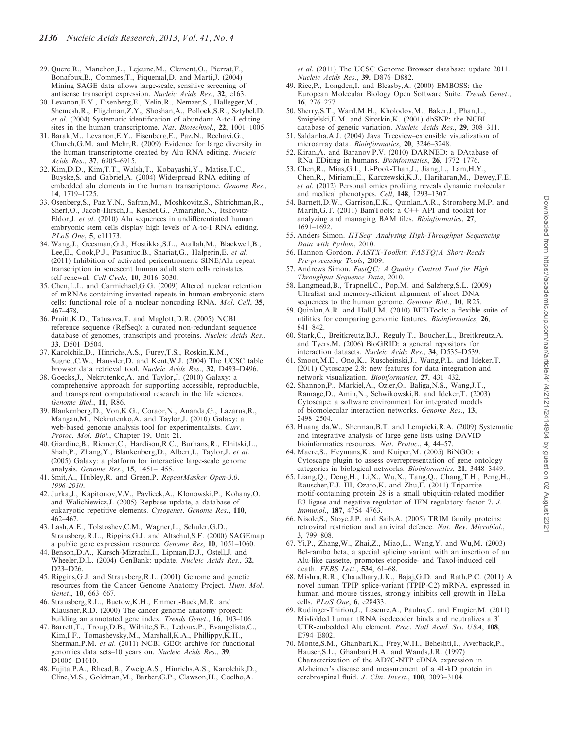- 29. Quere,R., Manchon,L., Lejeune,M., Clement,O., Pierrat,F., Bonafoux,B., Commes,T., Piquemal,D. and Marti,J. (2004) Mining SAGE data allows large-scale, sensitive screening of antisense transcript expression. *Nucleic Acids Res.*, 32, e163.
- 30. Levanon,E.Y., Eisenberg,E., Yelin,R., Nemzer,S., Hallegger,M., Shemesh,R., Fligelman,Z.Y., Shoshan,A., Pollock,S.R., Sztybel,D. *et al*. (2004) Systematic identification of abundant A-to-I editing sites in the human transcriptome. *Nat. Biotechnol.*, 22, 1001–1005.
- 31. Barak,M., Levanon,E.Y., Eisenberg,E., Paz,N., Rechavi,G., Church,G.M. and Mehr,R. (2009) Evidence for large diversity in the human transcriptome created by Alu RNA editing. *Nucleic Acids Res.*, 37, 6905–6915.
- 32. Kim,D.D., Kim,T.T., Walsh,T., Kobayashi,Y., Matise,T.C., Buyske,S. and Gabriel,A. (2004) Widespread RNA editing of embedded alu elements in the human transcriptome. *Genome Res.*, 14, 1719–1725.
- 33. Osenberg,S., Paz,Y.N., Safran,M., Moshkovitz,S., Shtrichman,R., Sherf,O., Jacob-Hirsch,J., Keshet,G., Amariglio,N., Itskovitz-Eldor,J. *et al*. (2010) Alu sequences in undifferentiated human embryonic stem cells display high levels of A-to-I RNA editing. *PLoS One*, 5, e11173.
- 34. Wang,J., Geesman,G.J., Hostikka,S.L., Atallah,M., Blackwell,B., Lee,E., Cook,P.J., Pasaniuc,B., Shariat,G., Halperin,E. *et al*. (2011) Inhibition of activated pericentromeric SINE/Alu repeat transcription in senescent human adult stem cells reinstates self-renewal. *Cell Cycle*, 10, 3016–3030.
- 35. Chen,L.L. and Carmichael,G.G. (2009) Altered nuclear retention of mRNAs containing inverted repeats in human embryonic stem cells: functional role of a nuclear noncoding RNA. *Mol. Cell*, 35, 467–478.
- 36. Pruitt,K.D., Tatusova,T. and Maglott,D.R. (2005) NCBI reference sequence (RefSeq): a curated non-redundant sequence database of genomes, transcripts and proteins. *Nucleic Acids Res.*, 33, D501–D504.
- 37. Karolchik,D., Hinrichs,A.S., Furey,T.S., Roskin,K.M., Sugnet,C.W., Haussler,D. and Kent,W.J. (2004) The UCSC table browser data retrieval tool. *Nucleic Acids Res.*, 32, D493–D496.
- 38. Goecks,J., Nekrutenko,A. and Taylor,J. (2010) Galaxy: a comprehensive approach for supporting accessible, reproducible, and transparent computational research in the life sciences. *Genome Biol.*, 11, R86.
- 39. Blankenberg,D., Von,K.G., Coraor,N., Ananda,G., Lazarus,R., Mangan,M., Nekrutenko,A. and Taylor,J. (2010) Galaxy: a web-based genome analysis tool for experimentalists. *Curr. Protoc. Mol. Biol.*, Chapter 19, Unit 21.
- 40. Giardine,B., Riemer,C., Hardison,R.C., Burhans,R., Elnitski,L., Shah,P., Zhang,Y., Blankenberg,D., Albert,I., Taylor,J. *et al*. (2005) Galaxy: a platform for interactive large-scale genome analysis. *Genome Res.*, 15, 1451–1455.
- 41. Smit,A., Hubley,R. and Green,P. *RepeatMasker Open-3.0. 1996-2010*.
- 42. Jurka,J., Kapitonov,V.V., Pavlicek,A., Klonowski,P., Kohany,O. and Walichiewicz,J. (2005) Repbase update, a database of eukaryotic repetitive elements. *Cytogenet. Genome Res.*, 110, 462–467.
- 43. Lash,A.E., Tolstoshev,C.M., Wagner,L., Schuler,G.D., Strausberg,R.L., Riggins,G.J. and Altschul,S.F. (2000) SAGEmap: a public gene expression resource. *Genome Res*, 10, 1051–1060.
- 44. Benson,D.A., Karsch-Mizrachi,I., Lipman,D.J., Ostell,J. and Wheeler,D.L. (2004) GenBank: update. *Nucleic Acids Res.*, 32, D23–D26.
- 45. Riggins,G.J. and Strausberg,R.L. (2001) Genome and genetic resources from the Cancer Genome Anatomy Project. *Hum. Mol. Genet.*, 10, 663–667.
- 46. Strausberg,R.L., Buetow,K.H., Emmert-Buck,M.R. and Klausner,R.D. (2000) The cancer genome anatomy project: building an annotated gene index. *Trends Genet.*, 16, 103–106.
- 47. Barrett,T., Troup,D.B., Wilhite,S.E., Ledoux,P., Evangelista,C., Kim,I.F., Tomashevsky,M., Marshall,K.A., Phillippy,K.H., Sherman,P.M. *et al*. (2011) NCBI GEO: archive for functional genomics data sets–10 years on. *Nucleic Acids Res.*, 39, D1005–D1010.
- 48. Fujita,P.A., Rhead,B., Zweig,A.S., Hinrichs,A.S., Karolchik,D., Cline,M.S., Goldman,M., Barber,G.P., Clawson,H., Coelho,A.

*et al*. (2011) The UCSC Genome Browser database: update 2011. *Nucleic Acids Res.*, 39, D876–D882.

- 49. Rice,P., Longden,I. and Bleasby,A. (2000) EMBOSS: the European Molecular Biology Open Software Suite. *Trends Genet.*, 16, 276–277.
- 50. Sherry,S.T., Ward,M.H., Kholodov,M., Baker,J., Phan,L., Smigielski,E.M. and Sirotkin,K. (2001) dbSNP: the NCBI database of genetic variation. *Nucleic Acids Res.*, 29, 308–311.
- 51. Saldanha,A.J. (2004) Java Treeview–extensible visualization of microarray data. *Bioinformatics*, 20, 3246–3248.
- 52. Kiran,A. and Baranov,P.V. (2010) DARNED: a DAtabase of RNa EDiting in humans. *Bioinformatics*, 26, 1772–1776.
- 53. Chen,R., Mias,G.I., Li-Pook-Than,J., Jiang,L., Lam,H.Y., Chen,R., Miriami,E., Karczewski,K.J., Hariharan,M., Dewey,F.E. *et al*. (2012) Personal omics profiling reveals dynamic molecular and medical phenotypes. *Cell*, 148, 1293–1307.
- 54. Barnett,D.W., Garrison,E.K., Quinlan,A.R., Stromberg,M.P. and Marth,G.T. (2011) BamTools: a C++ API and toolkit for analyzing and managing BAM files. *Bioinformatics*, 27, 1691–1692.
- 55. Anders Simon. *HTSeq: Analysing High-Throughput Sequencing Data with Python*, 2010.
- 56. Hannon Gordon. *FASTX-Toolkit: FASTQ/A Short-Reads Pre-processing Tools*, 2009.
- 57. Andrews Simon. *FastQC: A Quality Control Tool for High Throughput Sequence Data*, 2010.
- 58. Langmead,B., Trapnell,C., Pop,M. and Salzberg,S.L. (2009) Ultrafast and memory-efficient alignment of short DNA sequences to the human genome. *Genome Biol.*, 10, R25.
- 59. Quinlan,A.R. and Hall,I.M. (2010) BEDTools: a flexible suite of utilities for comparing genomic features. *Bioinformatics*, 26, 841–842.
- 60. Stark,C., Breitkreutz,B.J., Reguly,T., Boucher,L., Breitkreutz,A. and Tyers,M. (2006) BioGRID: a general repository for interaction datasets. *Nucleic Acids Res.*, 34, D535–D539.
- 61. Smoot,M.E., Ono,K., Ruscheinski,J., Wang,P.L. and Ideker,T. (2011) Cytoscape 2.8: new features for data integration and network visualization. *Bioinformatics*, 27, 431–432.
- 62. Shannon,P., Markiel,A., Ozier,O., Baliga,N.S., Wang,J.T., Ramage,D., Amin,N., Schwikowski,B. and Ideker,T. (2003) Cytoscape: a software environment for integrated models of biomolecular interaction networks. *Genome Res.*, 13, 2498–2504.
- 63. Huang da,W., Sherman,B.T. and Lempicki,R.A. (2009) Systematic and integrative analysis of large gene lists using DAVID bioinformatics resources. *Nat. Protoc.*, 4, 44–57.
- 64. Maere,S., Heymans,K. and Kuiper,M. (2005) BiNGO: a Cytoscape plugin to assess overrepresentation of gene ontology categories in biological networks. *Bioinformatics*, 21, 3448–3449.
- 65. Liang,Q., Deng,H., Li,X., Wu,X., Tang,Q., Chang,T.H., Peng,H., Rauscher,F.J. III, Ozato,K. and Zhu,F. (2011) Tripartite motif-containing protein 28 is a small ubiquitin-related modifier E3 ligase and negative regulator of IFN regulatory factor 7. *J. Immunol.*, 187, 4754–4763.
- 66. Nisole,S., Stoye,J.P. and Saib,A. (2005) TRIM family proteins: retroviral restriction and antiviral defence. *Nat. Rev. Microbiol.*, 3, 799–808.
- 67. Yi,P., Zhang,W., Zhai,Z., Miao,L., Wang,Y. and Wu,M. (2003) Bcl-rambo beta, a special splicing variant with an insertion of an Alu-like cassette, promotes etoposide- and Taxol-induced cell death. *FEBS Lett.*, 534, 61–68.
- 68. Mishra,R.R., Chaudhary,J.K., Bajaj,G.D. and Rath,P.C. (2011) A novel human TPIP splice-variant (TPIP-C2) mRNA, expressed in human and mouse tissues, strongly inhibits cell growth in HeLa cells. *PLoS One*, 6, e28433.
- 69. Rudinger-Thirion,J., Lescure,A., Paulus,C. and Frugier,M. (2011) Misfolded human tRNA isodecoder binds and neutralizes a 3' UTR-embedded Alu element. *Proc. Natl Acad. Sci. USA*, 108, E794–E802.
- 70. Monte,S.M., Ghanbari,K., Frey,W.H., Beheshti,I., Averback,P., Hauser,S.L., Ghanbari,H.A. and Wands,J.R. (1997) Characterization of the AD7C-NTP cDNA expression in Alzheimer's disease and measurement of a 41-kD protein in cerebrospinal fluid. *J. Clin. Invest.*, 100, 3093–3104.